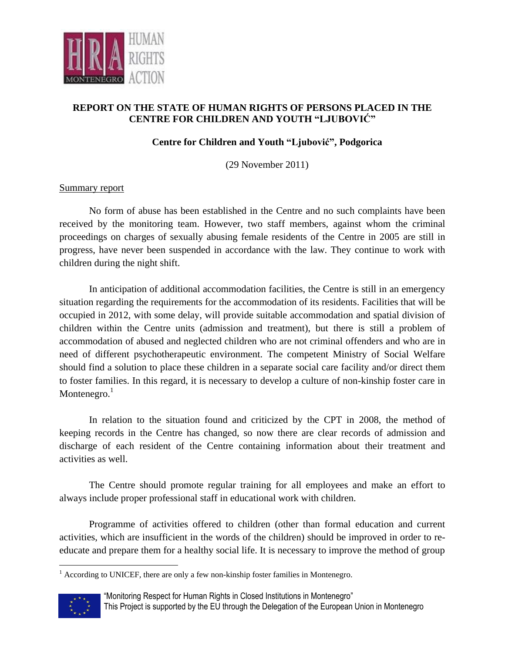

## **REPORT ON THE STATE OF HUMAN RIGHTS OF PERSONS PLACED IN THE CENTRE FOR CHILDREN AND YOUTH "LJUBOVIĆ"**

## **Centre for Children and Youth "Ljubović", Podgorica**

(29 November 2011)

## Summary report

No form of abuse has been established in the Centre and no such complaints have been received by the monitoring team. However, two staff members, against whom the criminal proceedings on charges of sexually abusing female residents of the Centre in 2005 are still in progress, have never been suspended in accordance with the law. They continue to work with children during the night shift.

In anticipation of additional accommodation facilities, the Centre is still in an emergency situation regarding the requirements for the accommodation of its residents. Facilities that will be occupied in 2012, with some delay, will provide suitable accommodation and spatial division of children within the Centre units (admission and treatment), but there is still a problem of accommodation of abused and neglected children who are not criminal offenders and who are in need of different psychotherapeutic environment. The competent Ministry of Social Welfare should find a solution to place these children in a separate social care facility and/or direct them to foster families. In this regard, it is necessary to develop a culture of non-kinship foster care in Montenegro. $1$ 

In relation to the situation found and criticized by the CPT in 2008, the method of keeping records in the Centre has changed, so now there are clear records of admission and discharge of each resident of the Centre containing information about their treatment and activities as well.

The Centre should promote regular training for all employees and make an effort to always include proper professional staff in educational work with children.

Programme of activities offered to children (other than formal education and current activities, which are insufficient in the words of the children) should be improved in order to reeducate and prepare them for a healthy social life. It is necessary to improve the method of group

 $<sup>1</sup>$  According to UNICEF, there are only a few non-kinship foster families in Montenegro.</sup>



 $\overline{a}$ 

This Project is supported by the EU through the Delegation of the European Union in Montenegro